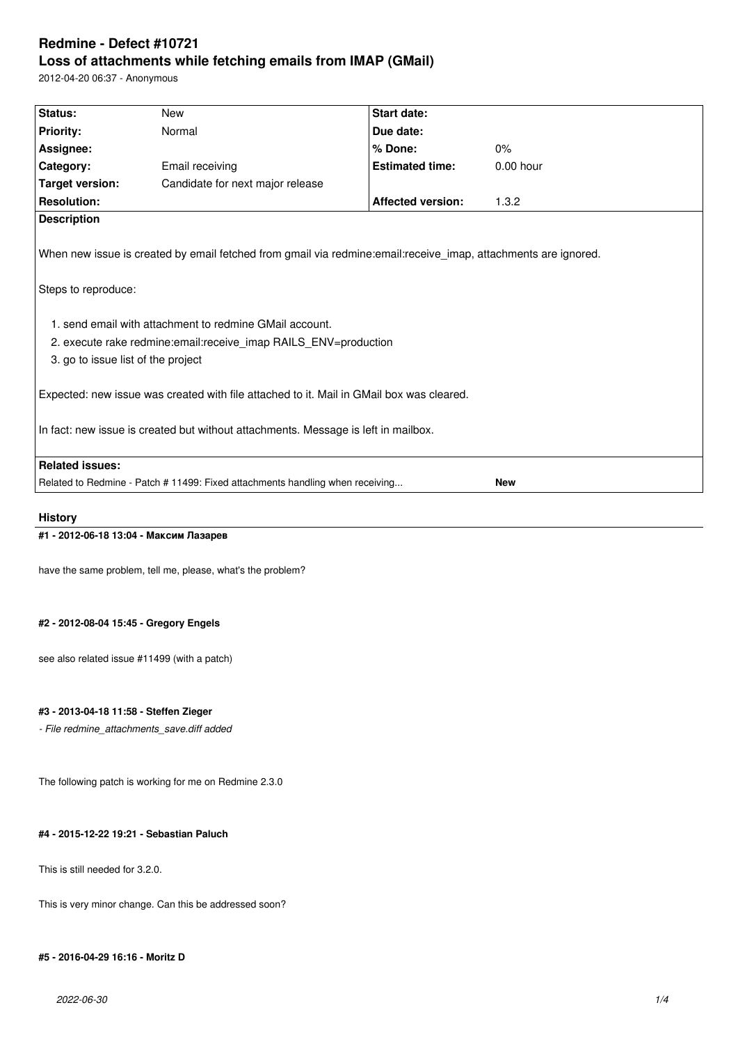# **Redmine - Defect #10721 Loss of attachments while fetching emails from IMAP (GMail)**

2012-04-20 06:37 - Anonymous

| Status:<br><b>New</b><br><b>Priority:</b><br>Normal<br>Assignee:<br>Category:<br>Email receiving<br><b>Target version:</b><br><b>Resolution:</b><br><b>Description</b><br>When new issue is created by email fetched from gmail via redmine:email:receive_imap, attachments are ignored.<br>Steps to reproduce:<br>3. go to issue list of the project | Candidate for next major release                                  | <b>Start date:</b><br>Due date:<br>% Done:<br><b>Estimated time:</b><br><b>Affected version:</b> | 0%<br>$0.00$ hour<br>1.3.2 |  |  |  |
|-------------------------------------------------------------------------------------------------------------------------------------------------------------------------------------------------------------------------------------------------------------------------------------------------------------------------------------------------------|-------------------------------------------------------------------|--------------------------------------------------------------------------------------------------|----------------------------|--|--|--|
|                                                                                                                                                                                                                                                                                                                                                       |                                                                   |                                                                                                  |                            |  |  |  |
|                                                                                                                                                                                                                                                                                                                                                       |                                                                   |                                                                                                  |                            |  |  |  |
|                                                                                                                                                                                                                                                                                                                                                       |                                                                   |                                                                                                  |                            |  |  |  |
|                                                                                                                                                                                                                                                                                                                                                       |                                                                   |                                                                                                  |                            |  |  |  |
|                                                                                                                                                                                                                                                                                                                                                       |                                                                   |                                                                                                  |                            |  |  |  |
|                                                                                                                                                                                                                                                                                                                                                       |                                                                   |                                                                                                  |                            |  |  |  |
|                                                                                                                                                                                                                                                                                                                                                       |                                                                   |                                                                                                  |                            |  |  |  |
|                                                                                                                                                                                                                                                                                                                                                       |                                                                   |                                                                                                  |                            |  |  |  |
|                                                                                                                                                                                                                                                                                                                                                       | 1. send email with attachment to redmine GMail account.           |                                                                                                  |                            |  |  |  |
|                                                                                                                                                                                                                                                                                                                                                       | 2. execute rake redmine: email: receive imap RAILS ENV=production |                                                                                                  |                            |  |  |  |
|                                                                                                                                                                                                                                                                                                                                                       |                                                                   |                                                                                                  |                            |  |  |  |
| Expected: new issue was created with file attached to it. Mail in GMail box was cleared.<br>In fact: new issue is created but without attachments. Message is left in mailbox.                                                                                                                                                                        |                                                                   |                                                                                                  |                            |  |  |  |
| <b>Related issues:</b>                                                                                                                                                                                                                                                                                                                                |                                                                   |                                                                                                  |                            |  |  |  |
| Related to Redmine - Patch # 11499: Fixed attachments handling when receiving                                                                                                                                                                                                                                                                         |                                                                   |                                                                                                  |                            |  |  |  |

## **History**

# **#1 - 2012-06-18 13:04 - Максим Лазарев**

have the same problem, tell me, please, what's the problem?

## **#2 - 2012-08-04 15:45 - Gregory Engels**

see also related issue #11499 (with a patch)

## **#3 - 2013-04-18 11:58 - Steffen Zieger**

*- File redmine\_attachments\_save.diff added*

The following patch is working for me on Redmine 2.3.0

## **#4 - 2015-12-22 19:21 - Sebastian Paluch**

This is still needed for 3.2.0.

This is very minor change. Can this be addressed soon?

## **#5 - 2016-04-29 16:16 - Moritz D**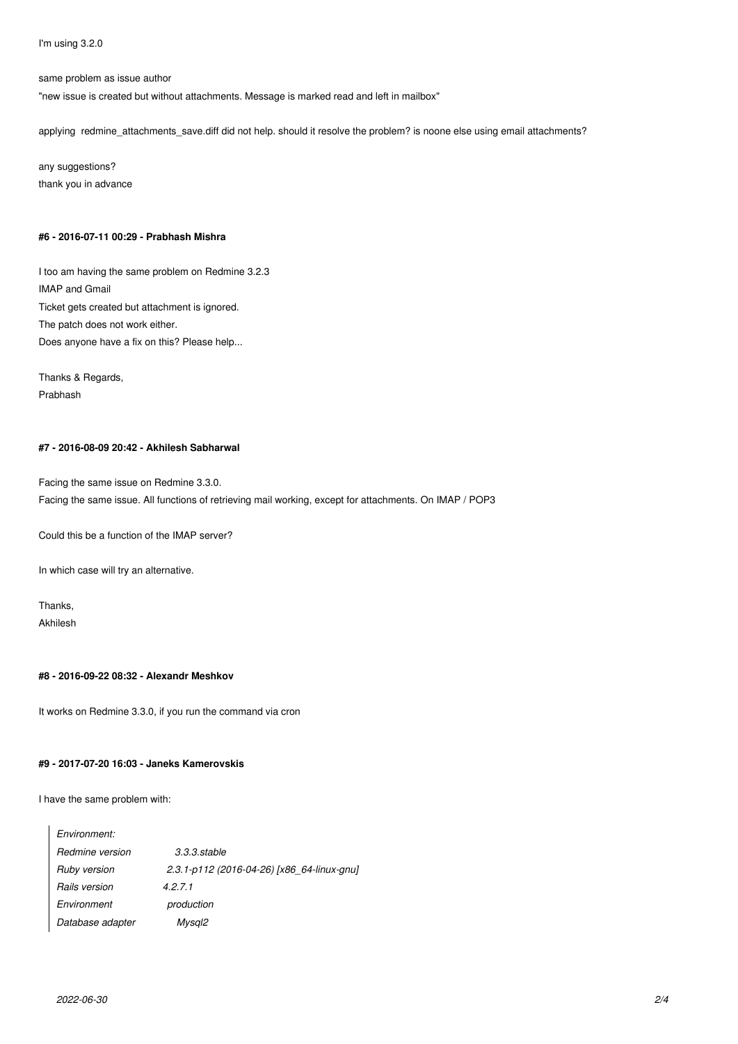I'm using 3.2.0

same problem as issue author

"new issue is created but without attachments. Message is marked read and left in mailbox"

applying redmine\_attachments\_save.diff did not help. should it resolve the problem? is noone else using email attachments?

any suggestions? thank you in advance

## **#6 - 2016-07-11 00:29 - Prabhash Mishra**

I too am having the same problem on Redmine 3.2.3 IMAP and Gmail Ticket gets created but attachment is ignored. The patch does not work either. Does anyone have a fix on this? Please help...

Thanks & Regards, Prabhash

## **#7 - 2016-08-09 20:42 - Akhilesh Sabharwal**

Facing the same issue on Redmine 3.3.0. Facing the same issue. All functions of retrieving mail working, except for attachments. On IMAP / POP3

Could this be a function of the IMAP server?

In which case will try an alternative.

Thanks, Akhilesh

## **#8 - 2016-09-22 08:32 - Alexandr Meshkov**

It works on Redmine 3.3.0, if you run the command via cron

#### **#9 - 2017-07-20 16:03 - Janeks Kamerovskis**

I have the same problem with:

| $3.3.3.$ stable                            |
|--------------------------------------------|
| 2.3.1-p112 (2016-04-26) [x86 64-linux-gnu] |
| 4.2.7.1                                    |
| production                                 |
| Mysgl2                                     |
|                                            |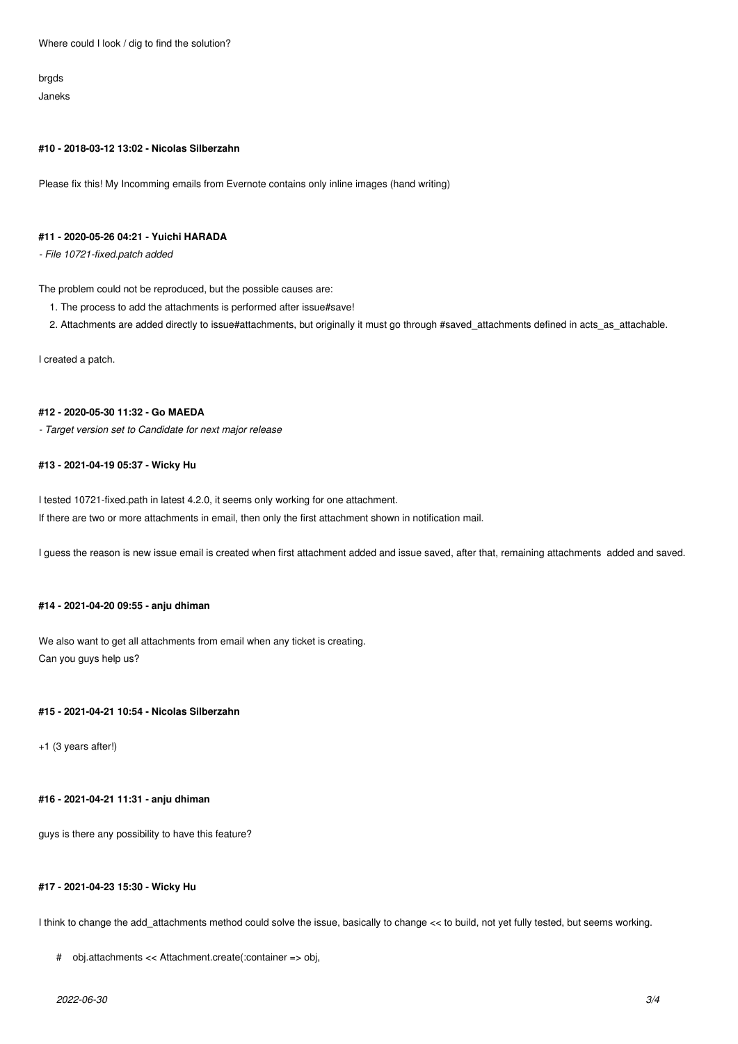Where could I look / dig to find the solution?

brgds Janeks

#### **#10 - 2018-03-12 13:02 - Nicolas Silberzahn**

Please fix this! My Incomming emails from Evernote contains only inline images (hand writing)

# **#11 - 2020-05-26 04:21 - Yuichi HARADA**

*- File 10721-fixed.patch added*

The problem could not be reproduced, but the possible causes are:

- 1. The process to add the attachments is performed after issue#save!
- 2. Attachments are added directly to issue#attachments, but originally it must go through #saved\_attachments defined in acts\_as\_attachable.

I created a patch.

### **#12 - 2020-05-30 11:32 - Go MAEDA**

*- Target version set to Candidate for next major release*

#### **#13 - 2021-04-19 05:37 - Wicky Hu**

I tested 10721-fixed.path in latest 4.2.0, it seems only working for one attachment. If there are two or more attachments in email, then only the first attachment shown in notification mail.

I guess the reason is new issue email is created when first attachment added and issue saved, after that, remaining attachments added and saved.

#### **#14 - 2021-04-20 09:55 - anju dhiman**

We also want to get all attachments from email when any ticket is creating. Can you guys help us?

## **#15 - 2021-04-21 10:54 - Nicolas Silberzahn**

+1 (3 years after!)

## **#16 - 2021-04-21 11:31 - anju dhiman**

guys is there any possibility to have this feature?

#### **#17 - 2021-04-23 15:30 - Wicky Hu**

I think to change the add\_attachments method could solve the issue, basically to change << to build, not yet fully tested, but seems working.

```
# obj.attachments << Attachment.create(:container => obj,
```